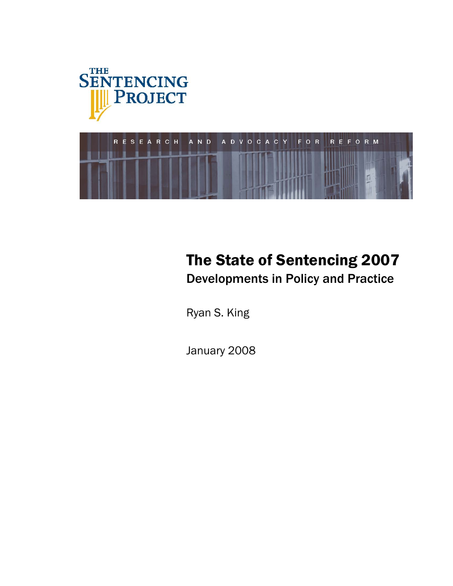



# The State of Sentencing 2007

Developments in Policy and Practice

Ryan S. King

January 2008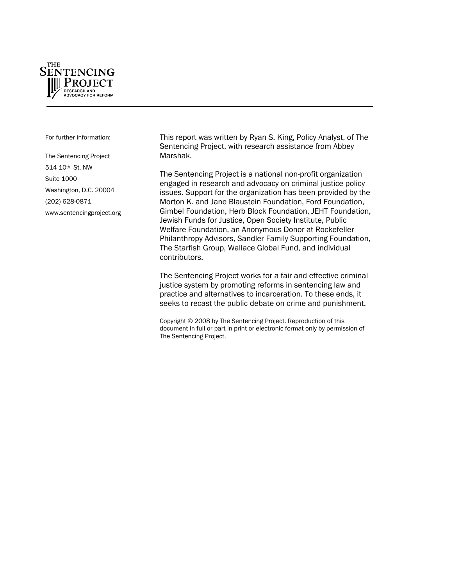

For further information:

The Sentencing Project 514 10th St. NW Suite 1000 Washington, D.C. 20004 (202) 628-0871 [www.sentencingproject.org](http://www.sentencingproject.org/) This report was written by Ryan S. King, Policy Analyst, of The Sentencing Project, with research assistance from Abbey Marshak.

The Sentencing Project is a national non-profit organization engaged in research and advocacy on criminal justice policy issues. Support for the organization has been provided by the Morton K. and Jane Blaustein Foundation, Ford Foundation, Gimbel Foundation, Herb Block Foundation, JEHT Foundation, Jewish Funds for Justice, Open Society Institute, Public Welfare Foundation, an Anonymous Donor at Rockefeller Philanthropy Advisors, Sandler Family Supporting Foundation, The Starfish Group, Wallace Global Fund, and individual contributors.

The Sentencing Project works for a fair and effective criminal justice system by promoting reforms in sentencing law and practice and alternatives to incarceration. To these ends, it seeks to recast the public debate on crime and punishment.

Copyright © 2008 by The Sentencing Project. Reproduction of this document in full or part in print or electronic format only by permission of The Sentencing Project.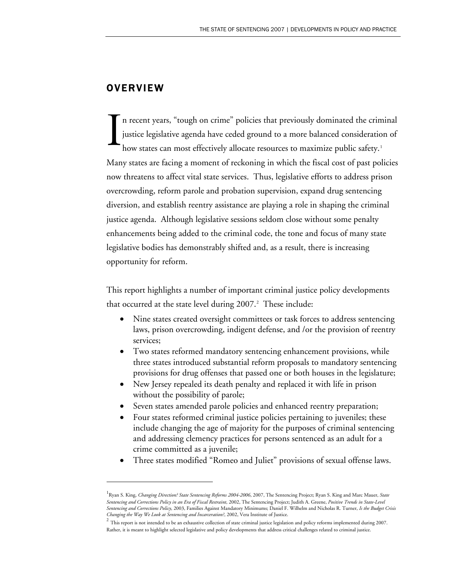# **OVERVIEW**

-

n recent years, "tough on crime" policies that previously dominated the criminal justice legislative agenda have ceded ground to a more balanced consideration of how states can most effectively allocate resources to maximize public safety.<sup>[1](#page-2-0)</sup> Many states are facing a moment of reckoning in which the fiscal cost of past policies now threatens to affect vital state services. Thus, legislative efforts to address prison overcrowding, reform parole and probation supervision, expand drug sentencing diversion, and establish reentry assistance are playing a role in shaping the criminal justice agenda. Although legislative sessions seldom close without some penalty enhancements being added to the criminal code, the tone and focus of many state legislative bodies has demonstrably shifted and, as a result, there is increasing opportunity for reform. I

This report highlights a number of important criminal justice policy developments that occurred at the state level during [2](#page-2-1)007.<sup>2</sup> These include:

- Nine states created oversight committees or task forces to address sentencing laws, prison overcrowding, indigent defense, and /or the provision of reentry services;
- Two states reformed mandatory sentencing enhancement provisions, while three states introduced substantial reform proposals to mandatory sentencing provisions for drug offenses that passed one or both houses in the legislature;
- New Jersey repealed its death penalty and replaced it with life in prison without the possibility of parole;
- Seven states amended parole policies and enhanced reentry preparation;
- Four states reformed criminal justice policies pertaining to juveniles; these include changing the age of majority for the purposes of criminal sentencing and addressing clemency practices for persons sentenced as an adult for a crime committed as a juvenile;
- Three states modified "Romeo and Juliet" provisions of sexual offense laws.

<span id="page-2-0"></span><sup>1</sup> Ryan S. King, *Changing Direction? State Sentencing Reforms 2004-2006*, 2007, The Sentencing Project; Ryan S. King and Marc Mauer, *State Sentencing and Corrections Policy in an Era of Fiscal Restraint*, 2002, The Sentencing Project; Judith A. Greene, *Positive Trends in State-Level Sentencing and Corrections Policy*, 2003, Families Against Mandatory Minimums; Daniel F. Wilhelm and Nicholas R. Turner, *Is the Budget Crisis Changing the Way We Look at Sentencing and Incarceration?*, 2002, Vera Institute of Justice.

<span id="page-2-1"></span> $2$  This report is not intended to be an exhaustive collection of state criminal justice legislation and policy reforms implemented during 2007. Rather, it is meant to highlight selected legislative and policy developments that address critical challenges related to criminal justice.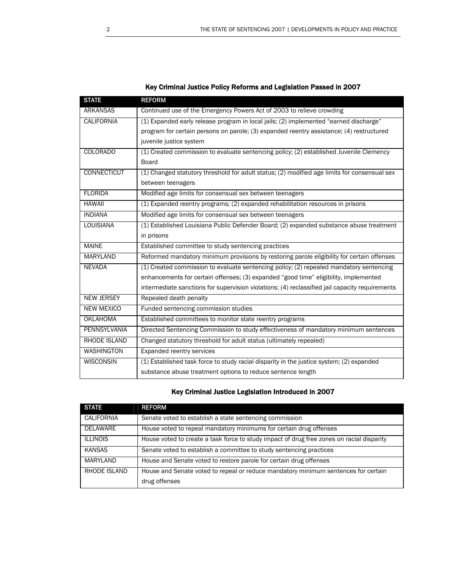| <b>STATE</b>       | <b>REFORM</b>                                                                                  |
|--------------------|------------------------------------------------------------------------------------------------|
| <b>ARKANSAS</b>    | Continued use of the Emergency Powers Act of 2003 to relieve crowding                          |
| <b>CALIFORNIA</b>  | (1) Expanded early release program in local jails; (2) implemented "earned discharge"          |
|                    | program for certain persons on parole; (3) expanded reentry assistance; (4) restructured       |
|                    | juvenile justice system                                                                        |
| <b>COLORADO</b>    | (1) Created commission to evaluate sentencing policy; (2) established Juvenile Clemency        |
|                    | <b>Board</b>                                                                                   |
| <b>CONNECTICUT</b> | (1) Changed statutory threshold for adult status; (2) modified age limits for consensual sex   |
|                    | between teenagers                                                                              |
| <b>FLORIDA</b>     | Modified age limits for consensual sex between teenagers                                       |
| <b>HAWAII</b>      | (1) Expanded reentry programs; (2) expanded rehabilitation resources in prisons                |
| <b>INDIANA</b>     | Modified age limits for consensual sex between teenagers                                       |
| <b>LOUISIANA</b>   | (1) Established Louisiana Public Defender Board; (2) expanded substance abuse treatment        |
|                    | in prisons                                                                                     |
| <b>MAINE</b>       | Established committee to study sentencing practices                                            |
| <b>MARYLAND</b>    | Reformed mandatory minimum provisions by restoring parole eligibility for certain offenses     |
| <b>NEVADA</b>      | (1) Created commission to evaluate sentencing policy; (2) repealed mandatory sentencing        |
|                    | enhancements for certain offenses; (3) expanded "good time" eligibility, implemented           |
|                    | intermediate sanctions for supervision violations; (4) reclassified jail capacity requirements |
| <b>NEW JERSEY</b>  | Repealed death penalty                                                                         |
| <b>NEW MEXICO</b>  | Funded sentencing commission studies                                                           |
| <b>OKLAHOMA</b>    | Established committees to monitor state reentry programs                                       |
| PENNSYLVANIA       | Directed Sentencing Commission to study effectiveness of mandatory minimum sentences           |
| RHODE ISLAND       | Changed statutory threshold for adult status (ultimately repealed)                             |
| <b>WASHINGTON</b>  | <b>Expanded reentry services</b>                                                               |
| <b>WISCONSIN</b>   | (1) Established task force to study racial disparity in the justice system; (2) expanded       |
|                    | substance abuse treatment options to reduce sentence length                                    |

## Key Criminal Justice Legislation Introduced in 2007

| <b>STATE</b>      | <b>REFORM</b>                                                                             |
|-------------------|-------------------------------------------------------------------------------------------|
| <b>CALIFORNIA</b> | Senate voted to establish a state sentencing commission                                   |
| <b>DELAWARE</b>   | House voted to repeal mandatory minimums for certain drug offenses                        |
| <b>ILLINOIS</b>   | House voted to create a task force to study impact of drug free zones on racial disparity |
| <b>KANSAS</b>     | Senate voted to establish a committee to study sentencing practices                       |
| MARYLAND          | House and Senate voted to restore parole for certain drug offenses                        |
| RHODE ISLAND      | House and Senate voted to repeal or reduce mandatory minimum sentences for certain        |
|                   | drug offenses                                                                             |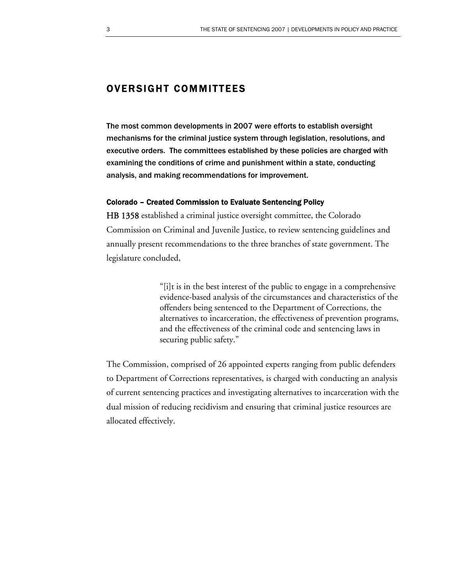# OVERSIGHT COMMITTEES

The most common developments in 2007 were efforts to establish oversight mechanisms for the criminal justice system through legislation, resolutions, and executive orders. The committees established by these policies are charged with examining the conditions of crime and punishment within a state, conducting analysis, and making recommendations for improvement.

#### Colorado – Created Commission to Evaluate Sentencing Policy

HB 1358 established a criminal justice oversight committee, the Colorado Commission on Criminal and Juvenile Justice, to review sentencing guidelines and annually present recommendations to the three branches of state government. The legislature concluded,

> "[i]t is in the best interest of the public to engage in a comprehensive evidence-based analysis of the circumstances and characteristics of the offenders being sentenced to the Department of Corrections, the alternatives to incarceration, the effectiveness of prevention programs, and the effectiveness of the criminal code and sentencing laws in securing public safety."

The Commission, comprised of 26 appointed experts ranging from public defenders to Department of Corrections representatives, is charged with conducting an analysis of current sentencing practices and investigating alternatives to incarceration with the dual mission of reducing recidivism and ensuring that criminal justice resources are allocated effectively.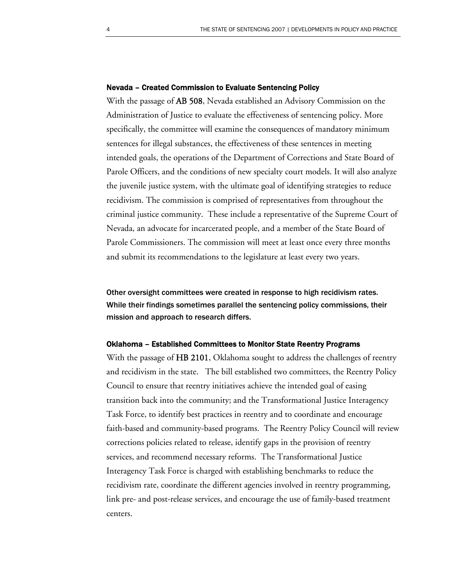#### Nevada – Created Commission to Evaluate Sentencing Policy

With the passage of AB 508, Nevada established an Advisory Commission on the Administration of Justice to evaluate the effectiveness of sentencing policy. More specifically, the committee will examine the consequences of mandatory minimum sentences for illegal substances, the effectiveness of these sentences in meeting intended goals, the operations of the Department of Corrections and State Board of Parole Officers, and the conditions of new specialty court models. It will also analyze the juvenile justice system, with the ultimate goal of identifying strategies to reduce recidivism. The commission is comprised of representatives from throughout the criminal justice community. These include a representative of the Supreme Court of Nevada, an advocate for incarcerated people, and a member of the State Board of Parole Commissioners. The commission will meet at least once every three months and submit its recommendations to the legislature at least every two years.

Other oversight committees were created in response to high recidivism rates. While their findings sometimes parallel the sentencing policy commissions, their mission and approach to research differs.

#### Oklahoma – Established Committees to Monitor State Reentry Programs

With the passage of HB 2101, Oklahoma sought to address the challenges of reentry and recidivism in the state. The bill established two committees, the Reentry Policy Council to ensure that reentry initiatives achieve the intended goal of easing transition back into the community; and the Transformational Justice Interagency Task Force, to identify best practices in reentry and to coordinate and encourage faith-based and community-based programs. The Reentry Policy Council will review corrections policies related to release, identify gaps in the provision of reentry services, and recommend necessary reforms. The Transformational Justice Interagency Task Force is charged with establishing benchmarks to reduce the recidivism rate, coordinate the different agencies involved in reentry programming, link pre- and post-release services, and encourage the use of family-based treatment centers.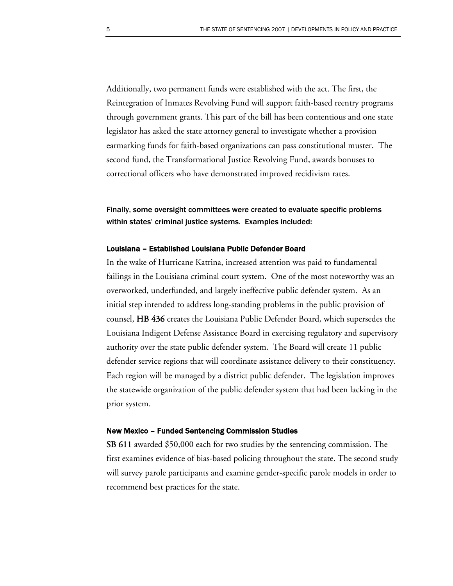Additionally, two permanent funds were established with the act. The first, the Reintegration of Inmates Revolving Fund will support faith-based reentry programs through government grants. This part of the bill has been contentious and one state legislator has asked the state attorney general to investigate whether a provision earmarking funds for faith-based organizations can pass constitutional muster. The second fund, the Transformational Justice Revolving Fund, awards bonuses to correctional officers who have demonstrated improved recidivism rates.

Finally, some oversight committees were created to evaluate specific problems within states' criminal justice systems. Examples included:

#### Louisiana – Established Louisiana Public Defender Board

In the wake of Hurricane Katrina, increased attention was paid to fundamental failings in the Louisiana criminal court system. One of the most noteworthy was an overworked, underfunded, and largely ineffective public defender system. As an initial step intended to address long-standing problems in the public provision of counsel, HB 436 creates the Louisiana Public Defender Board, which supersedes the Louisiana Indigent Defense Assistance Board in exercising regulatory and supervisory authority over the state public defender system. The Board will create 11 public defender service regions that will coordinate assistance delivery to their constituency. Each region will be managed by a district public defender. The legislation improves the statewide organization of the public defender system that had been lacking in the prior system.

#### New Mexico – Funded Sentencing Commission Studies

SB 611 awarded \$50,000 each for two studies by the sentencing commission. The first examines evidence of bias-based policing throughout the state. The second study will survey parole participants and examine gender-specific parole models in order to recommend best practices for the state.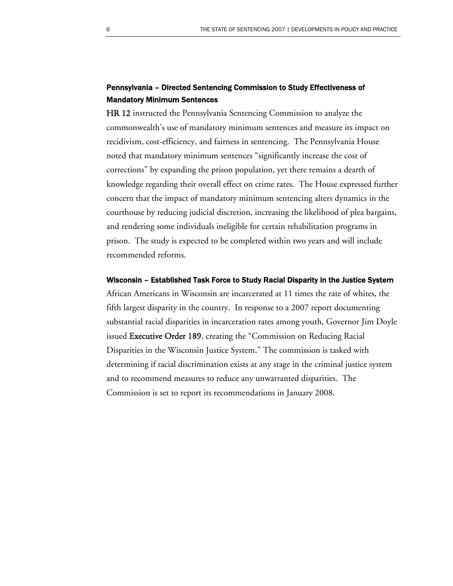## Pennsylvania – Directed Sentencing Commission to Study Effectiveness of Mandatory Minimum Sentences

HR 12 instructed the Pennsylvania Sentencing Commission to analyze the commonwealth's use of mandatory minimum sentences and measure its impact on recidivism, cost-efficiency, and fairness in sentencing. The Pennsylvania House noted that mandatory minimum sentences "significantly increase the cost of corrections" by expanding the prison population, yet there remains a dearth of knowledge regarding their overall effect on crime rates. The House expressed further concern that the impact of mandatory minimum sentencing alters dynamics in the courthouse by reducing judicial discretion, increasing the likelihood of plea bargains, and rendering some individuals ineligible for certain rehabilitation programs in prison. The study is expected to be completed within two years and will include recommended reforms.

#### Wisconsin – Established Task Force to Study Racial Disparity in the Justice System

African Americans in Wisconsin are incarcerated at 11 times the rate of whites, the fifth largest disparity in the country. In response to a 2007 report documenting substantial racial disparities in incarceration rates among youth, Governor Jim Doyle issued **Executive Order 189**, creating the "Commission on Reducing Racial Disparities in the Wisconsin Justice System." The commission is tasked with determining if racial discrimination exists at any stage in the criminal justice system and to recommend measures to reduce any unwarranted disparities. The Commission is set to report its recommendations in January 2008.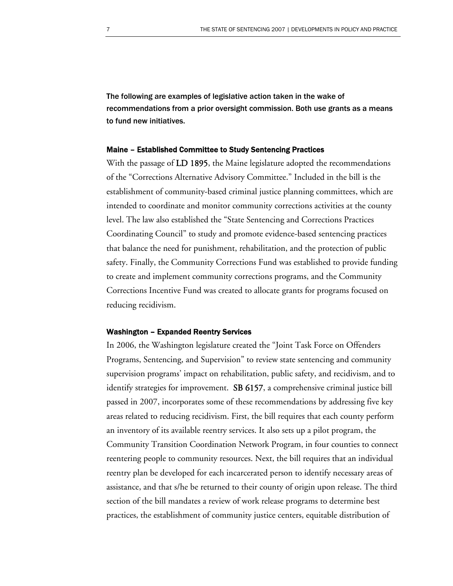The following are examples of legislative action taken in the wake of recommendations from a prior oversight commission. Both use grants as a means to fund new initiatives.

#### Maine – Established Committee to Study Sentencing Practices

With the passage of LD 1895, the Maine legislature adopted the recommendations of the "Corrections Alternative Advisory Committee." Included in the bill is the establishment of community-based criminal justice planning committees, which are intended to coordinate and monitor community corrections activities at the county level. The law also established the "State Sentencing and Corrections Practices Coordinating Council" to study and promote evidence-based sentencing practices that balance the need for punishment, rehabilitation, and the protection of public safety. Finally, the Community Corrections Fund was established to provide funding to create and implement community corrections programs, and the Community Corrections Incentive Fund was created to allocate grants for programs focused on reducing recidivism.

#### Washington – Expanded Reentry Services

In 2006, the Washington legislature created the "Joint Task Force on Offenders Programs, Sentencing, and Supervision" to review state sentencing and community supervision programs' impact on rehabilitation, public safety, and recidivism, and to identify strategies for improvement. SB 6157, a comprehensive criminal justice bill passed in 2007, incorporates some of these recommendations by addressing five key areas related to reducing recidivism. First, the bill requires that each county perform an inventory of its available reentry services. It also sets up a pilot program, the Community Transition Coordination Network Program, in four counties to connect reentering people to community resources. Next, the bill requires that an individual reentry plan be developed for each incarcerated person to identify necessary areas of assistance, and that s/he be returned to their county of origin upon release. The third section of the bill mandates a review of work release programs to determine best practices, the establishment of community justice centers, equitable distribution of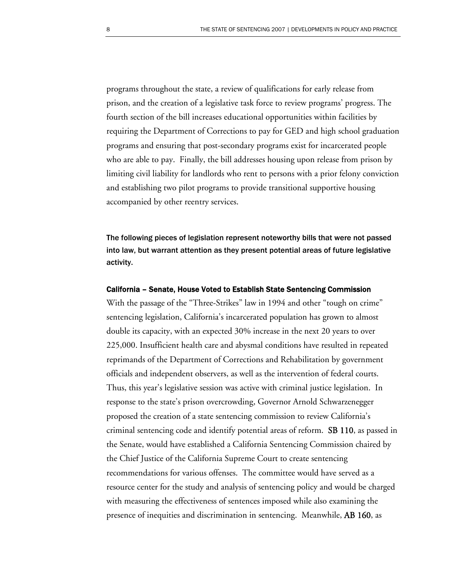programs throughout the state, a review of qualifications for early release from prison, and the creation of a legislative task force to review programs' progress. The fourth section of the bill increases educational opportunities within facilities by requiring the Department of Corrections to pay for GED and high school graduation programs and ensuring that post-secondary programs exist for incarcerated people who are able to pay. Finally, the bill addresses housing upon release from prison by limiting civil liability for landlords who rent to persons with a prior felony conviction and establishing two pilot programs to provide transitional supportive housing accompanied by other reentry services.

The following pieces of legislation represent noteworthy bills that were not passed into law, but warrant attention as they present potential areas of future legislative activity.

#### California – Senate, House Voted to Establish State Sentencing Commission

With the passage of the "Three-Strikes" law in 1994 and other "tough on crime" sentencing legislation, California's incarcerated population has grown to almost double its capacity, with an expected 30% increase in the next 20 years to over 225,000. Insufficient health care and abysmal conditions have resulted in repeated reprimands of the Department of Corrections and Rehabilitation by government officials and independent observers, as well as the intervention of federal courts. Thus, this year's legislative session was active with criminal justice legislation. In response to the state's prison overcrowding, Governor Arnold Schwarzenegger proposed the creation of a state sentencing commission to review California's criminal sentencing code and identify potential areas of reform. SB 110, as passed in the Senate, would have established a California Sentencing Commission chaired by the Chief Justice of the California Supreme Court to create sentencing recommendations for various offenses. The committee would have served as a resource center for the study and analysis of sentencing policy and would be charged with measuring the effectiveness of sentences imposed while also examining the presence of inequities and discrimination in sentencing. Meanwhile, AB 160, as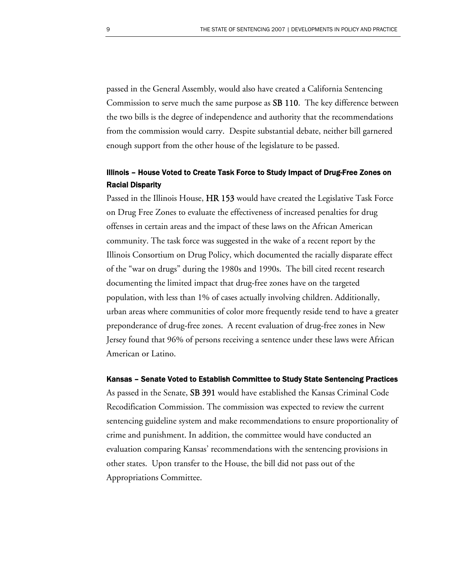passed in the General Assembly, would also have created a California Sentencing Commission to serve much the same purpose as SB 110. The key difference between the two bills is the degree of independence and authority that the recommendations from the commission would carry. Despite substantial debate, neither bill garnered enough support from the other house of the legislature to be passed.

## Illinois – House Voted to Create Task Force to Study Impact of Drug-Free Zones on Racial Disparity

Passed in the Illinois House, HR 153 would have created the Legislative Task Force on Drug Free Zones to evaluate the effectiveness of increased penalties for drug offenses in certain areas and the impact of these laws on the African American community. The task force was suggested in the wake of a recent report by the Illinois Consortium on Drug Policy, which documented the racially disparate effect of the "war on drugs" during the 1980s and 1990s. The bill cited recent research documenting the limited impact that drug-free zones have on the targeted population, with less than 1% of cases actually involving children. Additionally, urban areas where communities of color more frequently reside tend to have a greater preponderance of drug-free zones. A recent evaluation of drug-free zones in New Jersey found that 96% of persons receiving a sentence under these laws were African American or Latino.

#### Kansas – Senate Voted to Establish Committee to Study State Sentencing Practices

As passed in the Senate, SB 391 would have established the Kansas Criminal Code Recodification Commission. The commission was expected to review the current sentencing guideline system and make recommendations to ensure proportionality of crime and punishment. In addition, the committee would have conducted an evaluation comparing Kansas' recommendations with the sentencing provisions in other states. Upon transfer to the House, the bill did not pass out of the Appropriations Committee.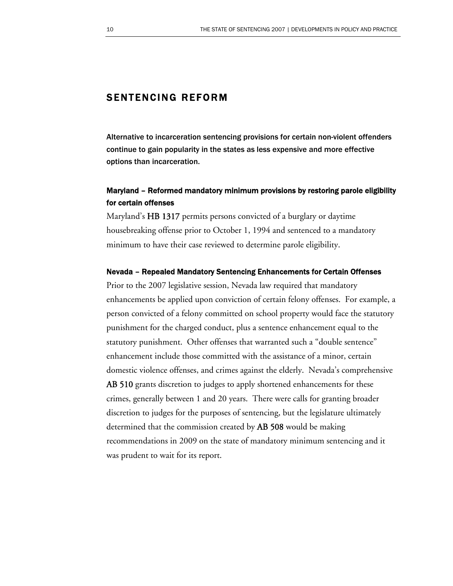# SENTENCING REFORM

Alternative to incarceration sentencing provisions for certain non-violent offenders continue to gain popularity in the states as less expensive and more effective options than incarceration.

## Maryland – Reformed mandatory minimum provisions by restoring parole eligibility for certain offenses

Maryland's HB 1317 permits persons convicted of a burglary or daytime housebreaking offense prior to October 1, 1994 and sentenced to a mandatory minimum to have their case reviewed to determine parole eligibility.

#### Nevada – Repealed Mandatory Sentencing Enhancements for Certain Offenses

Prior to the 2007 legislative session, Nevada law required that mandatory enhancements be applied upon conviction of certain felony offenses. For example, a person convicted of a felony committed on school property would face the statutory punishment for the charged conduct, plus a sentence enhancement equal to the statutory punishment. Other offenses that warranted such a "double sentence" enhancement include those committed with the assistance of a minor, certain domestic violence offenses, and crimes against the elderly. Nevada's comprehensive AB 510 grants discretion to judges to apply shortened enhancements for these crimes, generally between 1 and 20 years. There were calls for granting broader discretion to judges for the purposes of sentencing, but the legislature ultimately determined that the commission created by AB 508 would be making recommendations in 2009 on the state of mandatory minimum sentencing and it was prudent to wait for its report.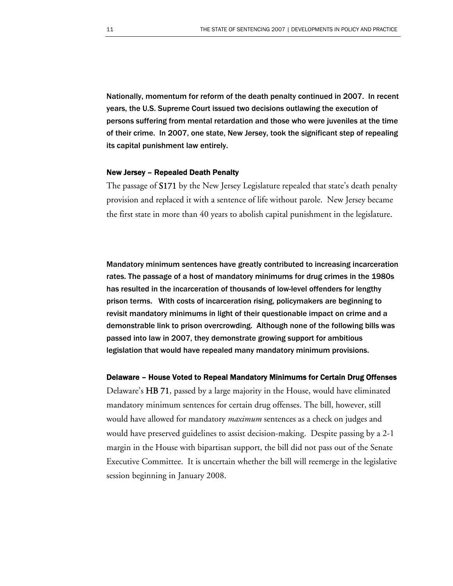Nationally, momentum for reform of the death penalty continued in 2007. In recent years, the U.S. Supreme Court issued two decisions outlawing the execution of persons suffering from mental retardation and those who were juveniles at the time of their crime. In 2007, one state, New Jersey, took the significant step of repealing its capital punishment law entirely.

#### New Jersey – Repealed Death Penalty

The passage of S171 by the New Jersey Legislature repealed that state's death penalty provision and replaced it with a sentence of life without parole. New Jersey became the first state in more than 40 years to abolish capital punishment in the legislature.

Mandatory minimum sentences have greatly contributed to increasing incarceration rates. The passage of a host of mandatory minimums for drug crimes in the 1980s has resulted in the incarceration of thousands of low-level offenders for lengthy prison terms. With costs of incarceration rising, policymakers are beginning to revisit mandatory minimums in light of their questionable impact on crime and a demonstrable link to prison overcrowding. Although none of the following bills was passed into law in 2007, they demonstrate growing support for ambitious legislation that would have repealed many mandatory minimum provisions.

Delaware – House Voted to Repeal Mandatory Minimums for Certain Drug Offenses Delaware's HB 71, passed by a large majority in the House, would have eliminated mandatory minimum sentences for certain drug offenses. The bill, however, still would have allowed for mandatory *maximum* sentences as a check on judges and would have preserved guidelines to assist decision-making. Despite passing by a 2-1 margin in the House with bipartisan support, the bill did not pass out of the Senate Executive Committee. It is uncertain whether the bill will reemerge in the legislative session beginning in January 2008.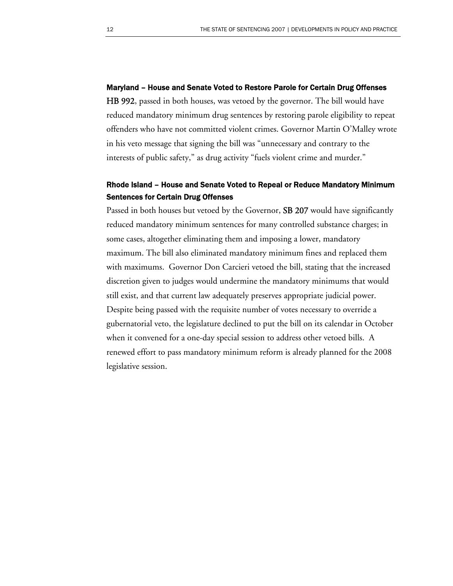#### Maryland – House and Senate Voted to Restore Parole for Certain Drug Offenses

HB 992, passed in both houses, was vetoed by the governor. The bill would have reduced mandatory minimum drug sentences by restoring parole eligibility to repeat offenders who have not committed violent crimes. Governor Martin O'Malley wrote in his veto message that signing the bill was "unnecessary and contrary to the interests of public safety," as drug activity "fuels violent crime and murder."

## Rhode Island – House and Senate Voted to Repeal or Reduce Mandatory Minimum Sentences for Certain Drug Offenses

Passed in both houses but vetoed by the Governor, SB 207 would have significantly reduced mandatory minimum sentences for many controlled substance charges; in some cases, altogether eliminating them and imposing a lower, mandatory maximum. The bill also eliminated mandatory minimum fines and replaced them with maximums. Governor Don Carcieri vetoed the bill, stating that the increased discretion given to judges would undermine the mandatory minimums that would still exist, and that current law adequately preserves appropriate judicial power. Despite being passed with the requisite number of votes necessary to override a gubernatorial veto, the legislature declined to put the bill on its calendar in October when it convened for a one-day special session to address other vetoed bills. A renewed effort to pass mandatory minimum reform is already planned for the 2008 legislative session.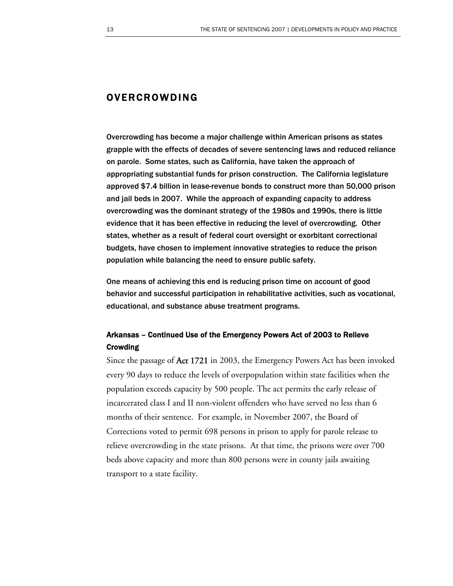# OVERCROWDING

Overcrowding has become a major challenge within American prisons as states grapple with the effects of decades of severe sentencing laws and reduced reliance on parole. Some states, such as California, have taken the approach of appropriating substantial funds for prison construction. The California legislature approved \$7.4 billion in lease-revenue bonds to construct more than 50,000 prison and jail beds in 2007. While the approach of expanding capacity to address overcrowding was the dominant strategy of the 1980s and 1990s, there is little evidence that it has been effective in reducing the level of overcrowding. Other states, whether as a result of federal court oversight or exorbitant correctional budgets, have chosen to implement innovative strategies to reduce the prison population while balancing the need to ensure public safety.

One means of achieving this end is reducing prison time on account of good behavior and successful participation in rehabilitative activities, such as vocational, educational, and substance abuse treatment programs.

# Arkansas – Continued Use of the Emergency Powers Act of 2003 to Relieve **Crowding**

Since the passage of Act 1721 in 2003, the Emergency Powers Act has been invoked every 90 days to reduce the levels of overpopulation within state facilities when the population exceeds capacity by 500 people. The act permits the early release of incarcerated class I and II non-violent offenders who have served no less than 6 months of their sentence. For example, in November 2007, the Board of Corrections voted to permit 698 persons in prison to apply for parole release to relieve overcrowding in the state prisons. At that time, the prisons were over 700 beds above capacity and more than 800 persons were in county jails awaiting transport to a state facility.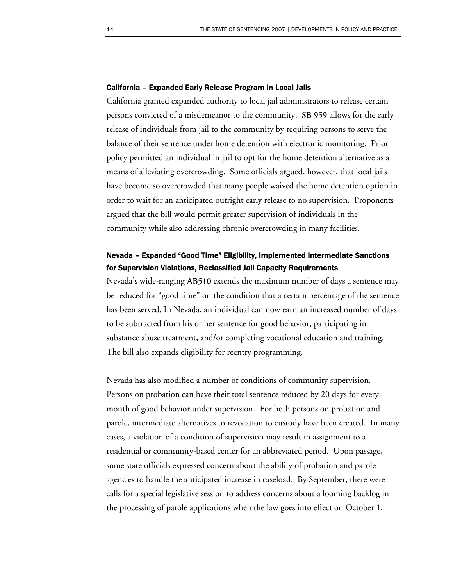#### California – Expanded Early Release Program in Local Jails

California granted expanded authority to local jail administrators to release certain persons convicted of a misdemeanor to the community. SB 959 allows for the early release of individuals from jail to the community by requiring persons to serve the balance of their sentence under home detention with electronic monitoring. Prior policy permitted an individual in jail to opt for the home detention alternative as a means of alleviating overcrowding. Some officials argued, however, that local jails have become so overcrowded that many people waived the home detention option in order to wait for an anticipated outright early release to no supervision. Proponents argued that the bill would permit greater supervision of individuals in the community while also addressing chronic overcrowding in many facilities.

# Nevada – Expanded "Good Time" Eligibility, Implemented Intermediate Sanctions for Supervision Violations, Reclassified Jail Capacity Requirements

Nevada's wide-ranging AB510 extends the maximum number of days a sentence may be reduced for "good time" on the condition that a certain percentage of the sentence has been served. In Nevada, an individual can now earn an increased number of days to be subtracted from his or her sentence for good behavior, participating in substance abuse treatment, and/or completing vocational education and training. The bill also expands eligibility for reentry programming.

Nevada has also modified a number of conditions of community supervision. Persons on probation can have their total sentence reduced by 20 days for every month of good behavior under supervision. For both persons on probation and parole, intermediate alternatives to revocation to custody have been created. In many cases, a violation of a condition of supervision may result in assignment to a residential or community-based center for an abbreviated period. Upon passage, some state officials expressed concern about the ability of probation and parole agencies to handle the anticipated increase in caseload. By September, there were calls for a special legislative session to address concerns about a looming backlog in the processing of parole applications when the law goes into effect on October 1,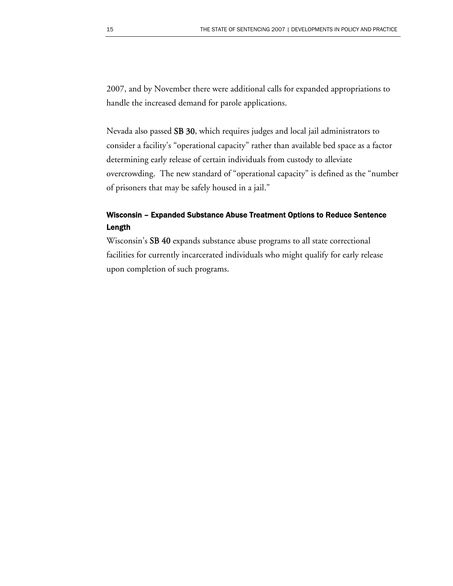2007, and by November there were additional calls for expanded appropriations to handle the increased demand for parole applications.

Nevada also passed SB 30, which requires judges and local jail administrators to consider a facility's "operational capacity" rather than available bed space as a factor determining early release of certain individuals from custody to alleviate overcrowding. The new standard of "operational capacity" is defined as the "number of prisoners that may be safely housed in a jail."

## Wisconsin – Expanded Substance Abuse Treatment Options to Reduce Sentence Length

Wisconsin's SB 40 expands substance abuse programs to all state correctional facilities for currently incarcerated individuals who might qualify for early release upon completion of such programs.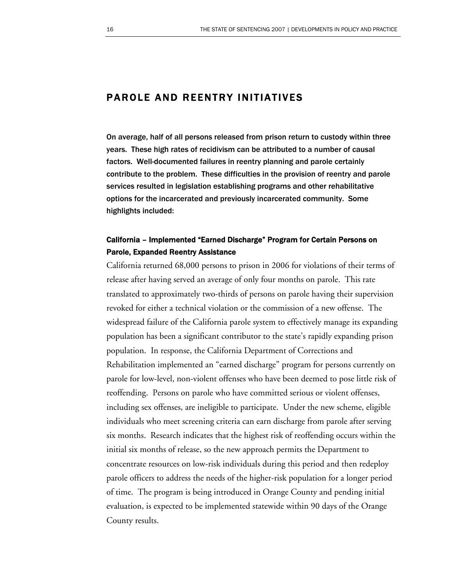# PAROLE AND REENTRY INITIATIVES

On average, half of all persons released from prison return to custody within three years. These high rates of recidivism can be attributed to a number of causal factors. Well-documented failures in reentry planning and parole certainly contribute to the problem. These difficulties in the provision of reentry and parole services resulted in legislation establishing programs and other rehabilitative options for the incarcerated and previously incarcerated community. Some highlights included:

# California – Implemented "Earned Discharge" Program for Certain Persons on Parole, Expanded Reentry Assistance

California returned 68,000 persons to prison in 2006 for violations of their terms of release after having served an average of only four months on parole. This rate translated to approximately two-thirds of persons on parole having their supervision revoked for either a technical violation or the commission of a new offense. The widespread failure of the California parole system to effectively manage its expanding population has been a significant contributor to the state's rapidly expanding prison population. In response, the California Department of Corrections and Rehabilitation implemented an "earned discharge" program for persons currently on parole for low-level, non-violent offenses who have been deemed to pose little risk of reoffending. Persons on parole who have committed serious or violent offenses, including sex offenses, are ineligible to participate. Under the new scheme, eligible individuals who meet screening criteria can earn discharge from parole after serving six months. Research indicates that the highest risk of reoffending occurs within the initial six months of release, so the new approach permits the Department to concentrate resources on low-risk individuals during this period and then redeploy parole officers to address the needs of the higher-risk population for a longer period of time. The program is being introduced in Orange County and pending initial evaluation, is expected to be implemented statewide within 90 days of the Orange County results.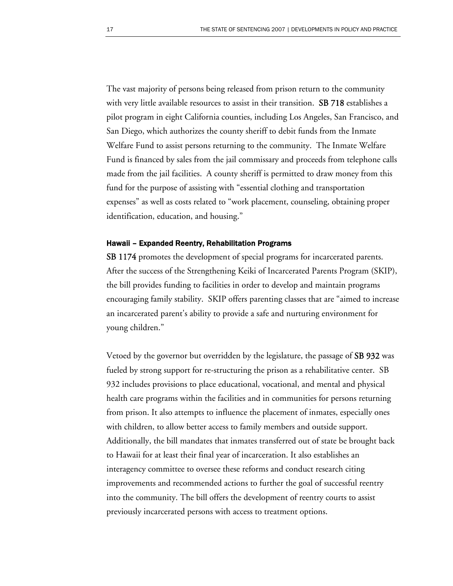The vast majority of persons being released from prison return to the community with very little available resources to assist in their transition. **SB 718** establishes a pilot program in eight California counties, including Los Angeles, San Francisco, and San Diego, which authorizes the county sheriff to debit funds from the Inmate Welfare Fund to assist persons returning to the community. The Inmate Welfare Fund is financed by sales from the jail commissary and proceeds from telephone calls made from the jail facilities. A county sheriff is permitted to draw money from this fund for the purpose of assisting with "essential clothing and transportation expenses" as well as costs related to "work placement, counseling, obtaining proper identification, education, and housing."

#### Hawaii – Expanded Reentry, Rehabilitation Programs

SB 1174 promotes the development of special programs for incarcerated parents. After the success of the Strengthening Keiki of Incarcerated Parents Program (SKIP), the bill provides funding to facilities in order to develop and maintain programs encouraging family stability. SKIP offers parenting classes that are "aimed to increase an incarcerated parent's ability to provide a safe and nurturing environment for young children."

Vetoed by the governor but overridden by the legislature, the passage of SB 932 was fueled by strong support for re-structuring the prison as a rehabilitative center. SB 932 includes provisions to place educational, vocational, and mental and physical health care programs within the facilities and in communities for persons returning from prison. It also attempts to influence the placement of inmates, especially ones with children, to allow better access to family members and outside support. Additionally, the bill mandates that inmates transferred out of state be brought back to Hawaii for at least their final year of incarceration. It also establishes an interagency committee to oversee these reforms and conduct research citing improvements and recommended actions to further the goal of successful reentry into the community. The bill offers the development of reentry courts to assist previously incarcerated persons with access to treatment options.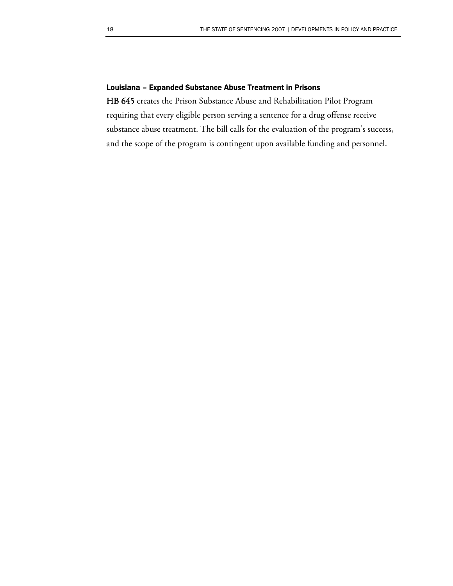### Louisiana – Expanded Substance Abuse Treatment in Prisons

HB 645 creates the Prison Substance Abuse and Rehabilitation Pilot Program requiring that every eligible person serving a sentence for a drug offense receive substance abuse treatment. The bill calls for the evaluation of the program's success, and the scope of the program is contingent upon available funding and personnel.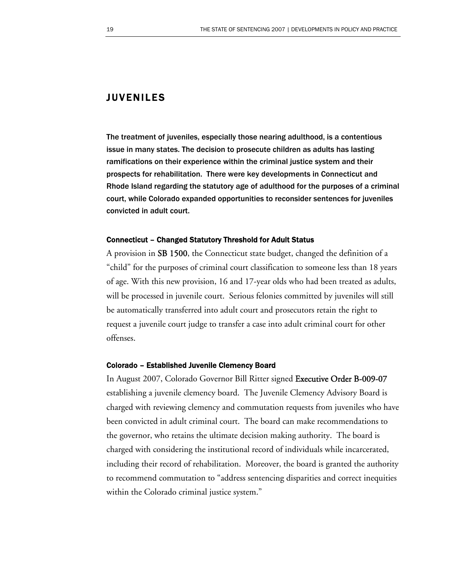# JUVENILES

The treatment of juveniles, especially those nearing adulthood, is a contentious issue in many states. The decision to prosecute children as adults has lasting ramifications on their experience within the criminal justice system and their prospects for rehabilitation. There were key developments in Connecticut and Rhode Island regarding the statutory age of adulthood for the purposes of a criminal court, while Colorado expanded opportunities to reconsider sentences for juveniles convicted in adult court.

#### Connecticut – Changed Statutory Threshold for Adult Status

A provision in SB 1500, the Connecticut state budget, changed the definition of a "child" for the purposes of criminal court classification to someone less than 18 years of age. With this new provision, 16 and 17-year olds who had been treated as adults, will be processed in juvenile court. Serious felonies committed by juveniles will still be automatically transferred into adult court and prosecutors retain the right to request a juvenile court judge to transfer a case into adult criminal court for other offenses.

#### Colorado – Established Juvenile Clemency Board

In August 2007, Colorado Governor Bill Ritter signed Executive Order B-009-07 establishing a juvenile clemency board. The Juvenile Clemency Advisory Board is charged with reviewing clemency and commutation requests from juveniles who have been convicted in adult criminal court. The board can make recommendations to the governor, who retains the ultimate decision making authority. The board is charged with considering the institutional record of individuals while incarcerated, including their record of rehabilitation. Moreover, the board is granted the authority to recommend commutation to "address sentencing disparities and correct inequities within the Colorado criminal justice system."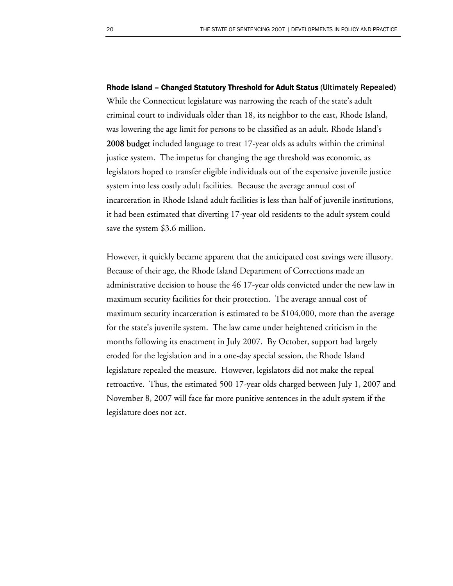Rhode Island – Changed Statutory Threshold for Adult Status (Ultimately Repealed) While the Connecticut legislature was narrowing the reach of the state's adult criminal court to individuals older than 18, its neighbor to the east, Rhode Island, was lowering the age limit for persons to be classified as an adult. Rhode Island's **2008 budget** included language to treat 17-year olds as adults within the criminal justice system. The impetus for changing the age threshold was economic, as legislators hoped to transfer eligible individuals out of the expensive juvenile justice system into less costly adult facilities. Because the average annual cost of incarceration in Rhode Island adult facilities is less than half of juvenile institutions, it had been estimated that diverting 17-year old residents to the adult system could save the system \$3.6 million.

However, it quickly became apparent that the anticipated cost savings were illusory. Because of their age, the Rhode Island Department of Corrections made an administrative decision to house the 46 17-year olds convicted under the new law in maximum security facilities for their protection. The average annual cost of maximum security incarceration is estimated to be \$104,000, more than the average for the state's juvenile system. The law came under heightened criticism in the months following its enactment in July 2007. By October, support had largely eroded for the legislation and in a one-day special session, the Rhode Island legislature repealed the measure. However, legislators did not make the repeal retroactive. Thus, the estimated 500 17-year olds charged between July 1, 2007 and November 8, 2007 will face far more punitive sentences in the adult system if the legislature does not act.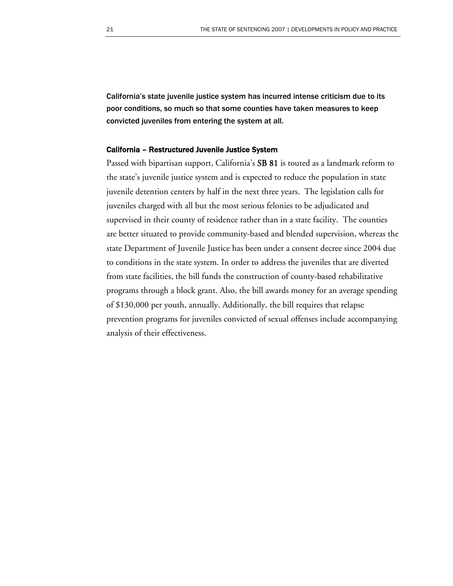California's state juvenile justice system has incurred intense criticism due to its poor conditions, so much so that some counties have taken measures to keep convicted juveniles from entering the system at all.

#### California – Restructured Juvenile Justice System

Passed with bipartisan support, California's SB 81 is touted as a landmark reform to the state's juvenile justice system and is expected to reduce the population in state juvenile detention centers by half in the next three years. The legislation calls for juveniles charged with all but the most serious felonies to be adjudicated and supervised in their county of residence rather than in a state facility. The counties are better situated to provide community-based and blended supervision, whereas the state Department of Juvenile Justice has been under a consent decree since 2004 due to conditions in the state system. In order to address the juveniles that are diverted from state facilities, the bill funds the construction of county-based rehabilitative programs through a block grant. Also, the bill awards money for an average spending of \$130,000 per youth, annually. Additionally, the bill requires that relapse prevention programs for juveniles convicted of sexual offenses include accompanying analysis of their effectiveness.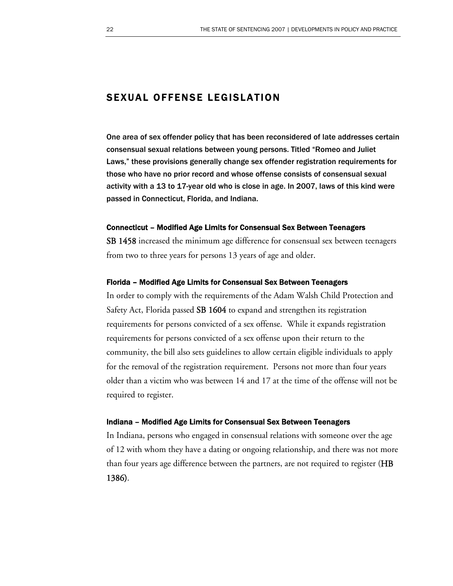# SEXUAL OFFENSE LEGISLATION

One area of sex offender policy that has been reconsidered of late addresses certain consensual sexual relations between young persons. Titled "Romeo and Juliet Laws," these provisions generally change sex offender registration requirements for those who have no prior record and whose offense consists of consensual sexual activity with a 13 to 17-year old who is close in age. In 2007, laws of this kind were passed in Connecticut, Florida, and Indiana.

#### Connecticut – Modified Age Limits for Consensual Sex Between Teenagers

SB 1458 increased the minimum age difference for consensual sex between teenagers from two to three years for persons 13 years of age and older.

#### Florida – Modified Age Limits for Consensual Sex Between Teenagers

In order to comply with the requirements of the Adam Walsh Child Protection and Safety Act, Florida passed SB 1604 to expand and strengthen its registration requirements for persons convicted of a sex offense. While it expands registration requirements for persons convicted of a sex offense upon their return to the community, the bill also sets guidelines to allow certain eligible individuals to apply for the removal of the registration requirement. Persons not more than four years older than a victim who was between 14 and 17 at the time of the offense will not be required to register.

#### Indiana – Modified Age Limits for Consensual Sex Between Teenagers

In Indiana, persons who engaged in consensual relations with someone over the age of 12 with whom they have a dating or ongoing relationship, and there was not more than four years age difference between the partners, are not required to register (HB 1386).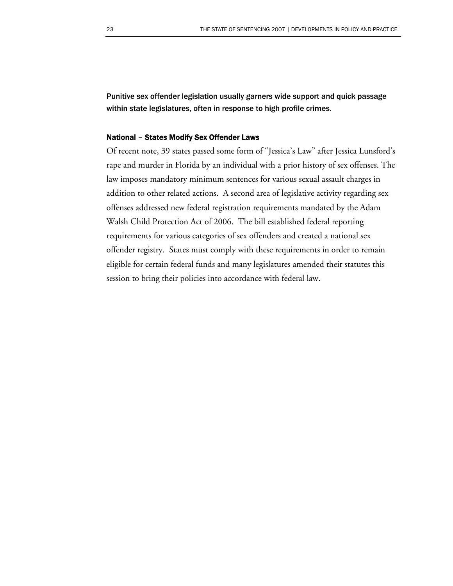Punitive sex offender legislation usually garners wide support and quick passage within state legislatures, often in response to high profile crimes.

#### National – States Modify Sex Offender Laws

Of recent note, 39 states passed some form of "Jessica's Law" after Jessica Lunsford's rape and murder in Florida by an individual with a prior history of sex offenses. The law imposes mandatory minimum sentences for various sexual assault charges in addition to other related actions. A second area of legislative activity regarding sex offenses addressed new federal registration requirements mandated by the Adam Walsh Child Protection Act of 2006. The bill established federal reporting requirements for various categories of sex offenders and created a national sex offender registry. States must comply with these requirements in order to remain eligible for certain federal funds and many legislatures amended their statutes this session to bring their policies into accordance with federal law.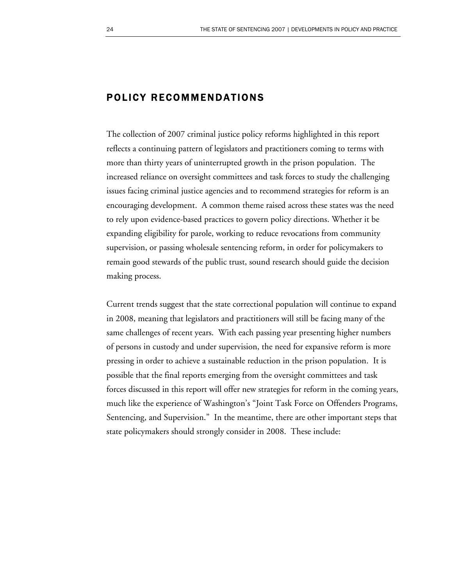# POLICY RECOMMENDATIONS

The collection of 2007 criminal justice policy reforms highlighted in this report reflects a continuing pattern of legislators and practitioners coming to terms with more than thirty years of uninterrupted growth in the prison population. The increased reliance on oversight committees and task forces to study the challenging issues facing criminal justice agencies and to recommend strategies for reform is an encouraging development. A common theme raised across these states was the need to rely upon evidence-based practices to govern policy directions. Whether it be expanding eligibility for parole, working to reduce revocations from community supervision, or passing wholesale sentencing reform, in order for policymakers to remain good stewards of the public trust, sound research should guide the decision making process.

Current trends suggest that the state correctional population will continue to expand in 2008, meaning that legislators and practitioners will still be facing many of the same challenges of recent years. With each passing year presenting higher numbers of persons in custody and under supervision, the need for expansive reform is more pressing in order to achieve a sustainable reduction in the prison population. It is possible that the final reports emerging from the oversight committees and task forces discussed in this report will offer new strategies for reform in the coming years, much like the experience of Washington's "Joint Task Force on Offenders Programs, Sentencing, and Supervision." In the meantime, there are other important steps that state policymakers should strongly consider in 2008. These include: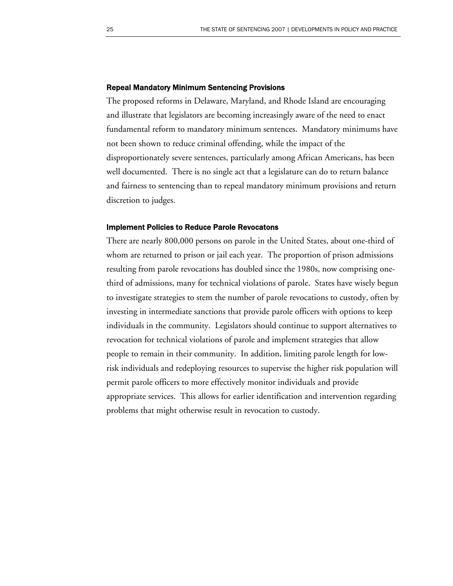#### Repeal Mandatory Minimum Sentencing Provisions

The proposed reforms in Delaware, Maryland, and Rhode Island are encouraging and illustrate that legislators are becoming increasingly aware of the need to enact fundamental reform to mandatory minimum sentences. Mandatory minimums have not been shown to reduce criminal offending, while the impact of the disproportionately severe sentences, particularly among African Americans, has been well documented. There is no single act that a legislature can do to return balance and fairness to sentencing than to repeal mandatory minimum provisions and return discretion to judges.

#### Implement Policies to Reduce Parole Revocatons

There are nearly 800,000 persons on parole in the United States, about one-third of whom are returned to prison or jail each year. The proportion of prison admissions resulting from parole revocations has doubled since the 1980s, now comprising onethird of admissions, many for technical violations of parole. States have wisely begun to investigate strategies to stem the number of parole revocations to custody, often by investing in intermediate sanctions that provide parole officers with options to keep individuals in the community. Legislators should continue to support alternatives to revocation for technical violations of parole and implement strategies that allow people to remain in their community. In addition, limiting parole length for lowrisk individuals and redeploying resources to supervise the higher risk population will permit parole officers to more effectively monitor individuals and provide appropriate services. This allows for earlier identification and intervention regarding problems that might otherwise result in revocation to custody.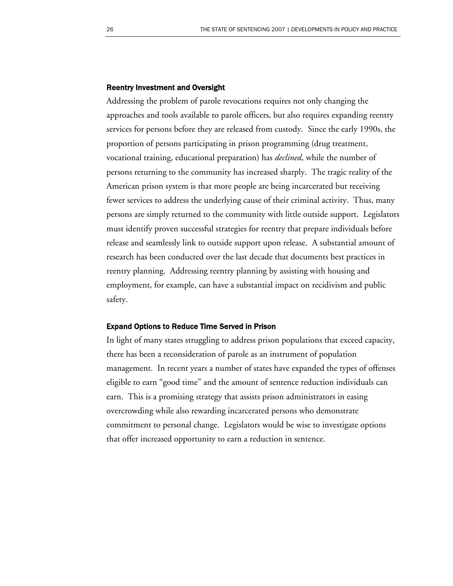#### Reentry Investment and Oversight

Addressing the problem of parole revocations requires not only changing the approaches and tools available to parole officers, but also requires expanding reentry services for persons before they are released from custody. Since the early 1990s, the proportion of persons participating in prison programming (drug treatment, vocational training, educational preparation) has *declined*, while the number of persons returning to the community has increased sharply. The tragic reality of the American prison system is that more people are being incarcerated but receiving fewer services to address the underlying cause of their criminal activity. Thus, many persons are simply returned to the community with little outside support. Legislators must identify proven successful strategies for reentry that prepare individuals before release and seamlessly link to outside support upon release. A substantial amount of research has been conducted over the last decade that documents best practices in reentry planning. Addressing reentry planning by assisting with housing and employment, for example, can have a substantial impact on recidivism and public safety.

#### Expand Options to Reduce Time Served in Prison

In light of many states struggling to address prison populations that exceed capacity, there has been a reconsideration of parole as an instrument of population management. In recent years a number of states have expanded the types of offenses eligible to earn "good time" and the amount of sentence reduction individuals can earn. This is a promising strategy that assists prison administrators in easing overcrowding while also rewarding incarcerated persons who demonstrate commitment to personal change. Legislators would be wise to investigate options that offer increased opportunity to earn a reduction in sentence.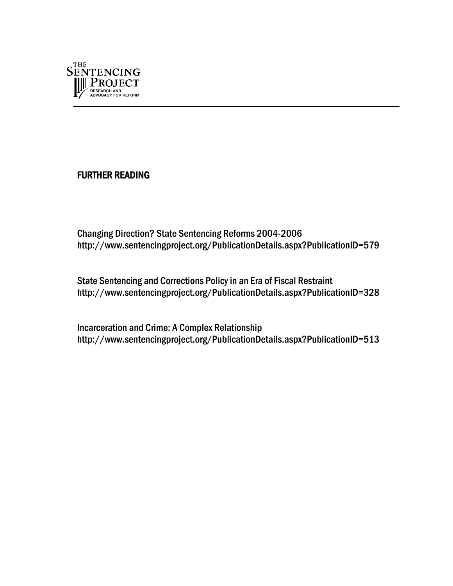

FURTHER READING

Changing Direction? State Sentencing Reforms 2004-2006 <http://www.sentencingproject.org/PublicationDetails.aspx?PublicationID=579>

State Sentencing and Corrections Policy in an Era of Fiscal Restraint <http://www.sentencingproject.org/PublicationDetails.aspx?PublicationID=328>

Incarceration and Crime: A Complex Relationship <http://www.sentencingproject.org/PublicationDetails.aspx?PublicationID=513>